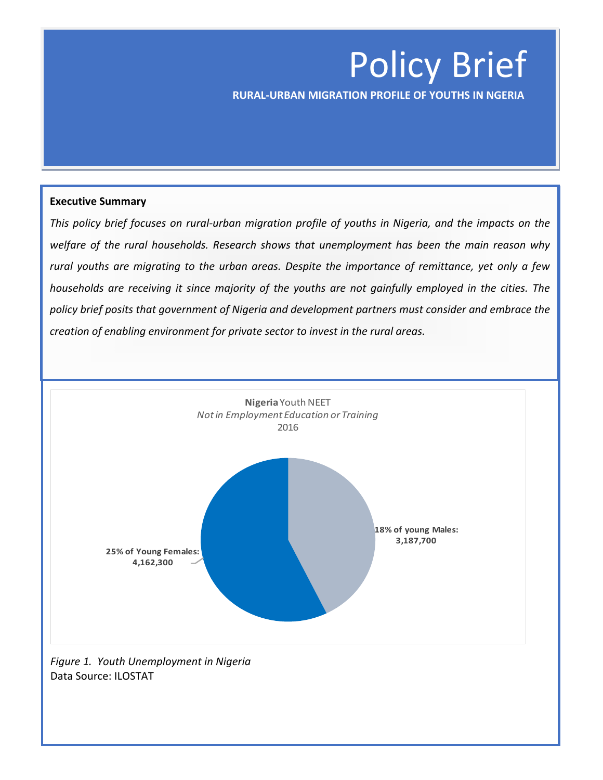# Policy Brief

 **RURAL-URBAN MIGRATION PROFILE OF YOUTHS IN NGERIA**

#### **Executive Summary**

*This policy brief focuses on rural-urban migration profile of youths in Nigeria, and the impacts on the welfare of the rural households. Research shows that unemployment has been the main reason why rural youths are migrating to the urban areas. Despite the importance of remittance, yet only a few households are receiving it since majority of the youths are not gainfully employed in the cities. The policy brief posits that government of Nigeria and development partners must consider and embrace the creation of enabling environment for private sector to invest in the rural areas.*



*Figure 1. Youth Unemployment in Nigeria* Data Source: ILOSTAT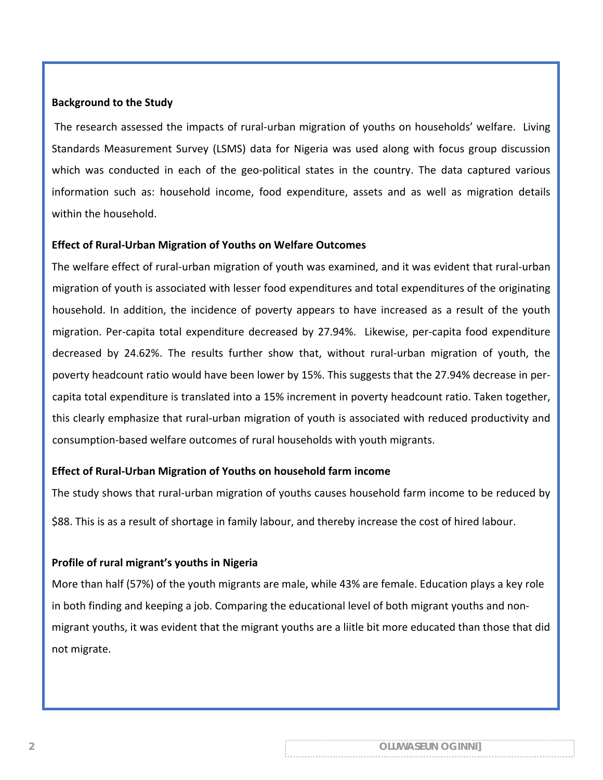#### **Background to the Study**

The research assessed the impacts of rural-urban migration of youths on households' welfare. Living Standards Measurement Survey (LSMS) data for Nigeria was used along with focus group discussion which was conducted in each of the geo-political states in the country. The data captured various information such as: household income, food expenditure, assets and as well as migration details within the household.

#### **Effect of Rural-Urban Migration of Youths on Welfare Outcomes**

The welfare effect of rural-urban migration of youth was examined, and it was evident that rural-urban migration of youth is associated with lesser food expenditures and total expenditures of the originating household. In addition, the incidence of poverty appears to have increased as a result of the youth migration. Per-capita total expenditure decreased by 27.94%. Likewise, per-capita food expenditure decreased by 24.62%. The results further show that, without rural-urban migration of youth, the poverty headcount ratio would have been lower by 15%. This suggests that the 27.94% decrease in percapita total expenditure is translated into a 15% increment in poverty headcount ratio. Taken together, this clearly emphasize that rural-urban migration of youth is associated with reduced productivity and consumption-based welfare outcomes of rural households with youth migrants.

#### **Effect of Rural-Urban Migration of Youths on household farm income**

The study shows that rural-urban migration of youths causes household farm income to be reduced by

\$88. This is as a result of shortage in family labour, and thereby increase the cost of hired labour.

#### **Profile of rural migrant's youths in Nigeria**

More than half (57%) of the youth migrants are male, while 43% are female. Education plays a key role in both finding and keeping a job. Comparing the educational level of both migrant youths and nonmigrant youths, it was evident that the migrant youths are a liitle bit more educated than those that did not migrate.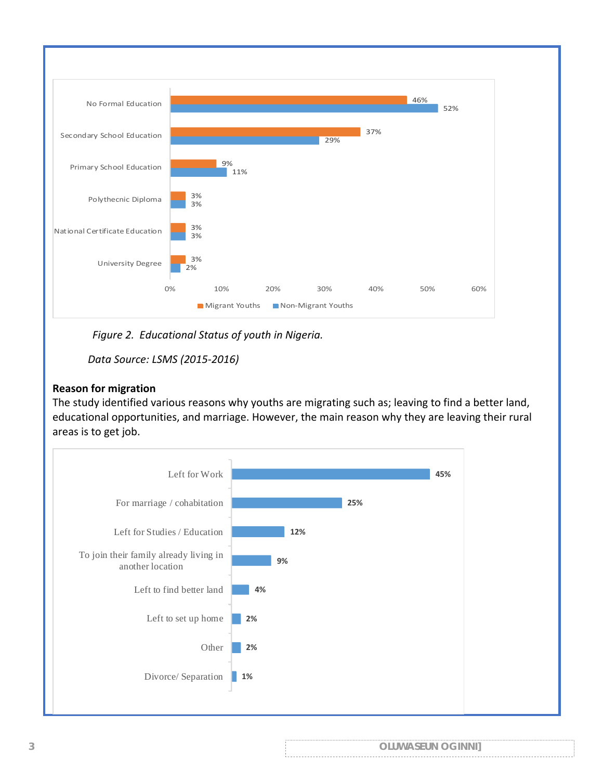

*Figure 2. Educational Status of youth in Nigeria.*

*Data Source: LSMS (2015-2016)*

### **Reason for migration**

The study identified various reasons why youths are migrating such as; leaving to find a better land, educational opportunities, and marriage. However, the main reason why they are leaving their rural areas is to get job.



| <b>OLUWASEUN OGINNI]</b> |
|--------------------------|
|                          |
|                          |
|                          |
|                          |
|                          |